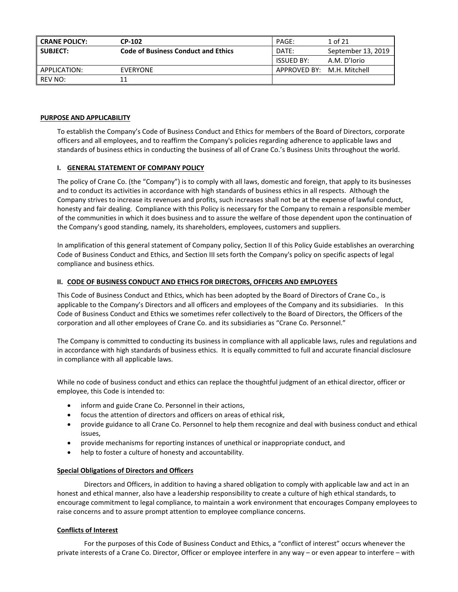| <b>CRANE POLICY:</b> | <b>CP-102</b>                              | PAGE:                      | 1 of 21            |
|----------------------|--------------------------------------------|----------------------------|--------------------|
| <b>SUBJECT:</b>      | <b>Code of Business Conduct and Ethics</b> | DATE:                      | September 13, 2019 |
|                      |                                            | ISSUED BY:                 | A.M. D'Iorio       |
| APPLICATION:         | EVERYONE                                   | APPROVED BY: M.H. Mitchell |                    |
| REV NO:              |                                            |                            |                    |

#### **PURPOSE AND APPLICABILITY**

To establish the Company's Code of Business Conduct and Ethics for members of the Board of Directors, corporate officers and all employees, and to reaffirm the Company's policies regarding adherence to applicable laws and standards of business ethics in conducting the business of all of Crane Co.'s Business Units throughout the world.

#### **I. GENERAL STATEMENT OF COMPANY POLICY**

The policy of Crane Co. (the "Company") is to comply with all laws, domestic and foreign, that apply to its businesses and to conduct its activities in accordance with high standards of business ethics in all respects. Although the Company strives to increase its revenues and profits, such increases shall not be at the expense of lawful conduct, honesty and fair dealing. Compliance with this Policy is necessary for the Company to remain a responsible member of the communities in which it does business and to assure the welfare of those dependent upon the continuation of the Company's good standing, namely, its shareholders, employees, customers and suppliers.

In amplification of this general statement of Company policy, Section II of this Policy Guide establishes an overarching Code of Business Conduct and Ethics, and Section III sets forth the Company's policy on specific aspects of legal compliance and business ethics.

#### **II. CODE OF BUSINESS CONDUCT AND ETHICS FOR DIRECTORS, OFFICERS AND EMPLOYEES**

This Code of Business Conduct and Ethics, which has been adopted by the Board of Directors of Crane Co., is applicable to the Company's Directors and all officers and employees of the Company and its subsidiaries. In this Code of Business Conduct and Ethics we sometimes refer collectively to the Board of Directors, the Officers of the corporation and all other employees of Crane Co. and its subsidiaries as "Crane Co. Personnel."

The Company is committed to conducting its business in compliance with all applicable laws, rules and regulations and in accordance with high standards of business ethics. It is equally committed to full and accurate financial disclosure in compliance with all applicable laws.

While no code of business conduct and ethics can replace the thoughtful judgment of an ethical director, officer or employee, this Code is intended to:

- inform and guide Crane Co. Personnel in their actions,
- focus the attention of directors and officers on areas of ethical risk,
- provide guidance to all Crane Co. Personnel to help them recognize and deal with business conduct and ethical issues,
- provide mechanisms for reporting instances of unethical or inappropriate conduct, and
- help to foster a culture of honesty and accountability.

#### **Special Obligations of Directors and Officers**

Directors and Officers, in addition to having a shared obligation to comply with applicable law and act in an honest and ethical manner, also have a leadership responsibility to create a culture of high ethical standards, to encourage commitment to legal compliance, to maintain a work environment that encourages Company employees to raise concerns and to assure prompt attention to employee compliance concerns.

#### **Conflicts of Interest**

For the purposes of this Code of Business Conduct and Ethics, a "conflict of interest" occurs whenever the private interests of a Crane Co. Director, Officer or employee interfere in any way – or even appear to interfere – with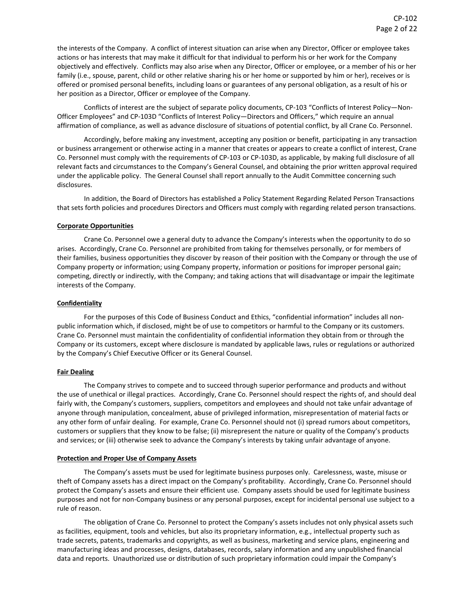the interests of the Company. A conflict of interest situation can arise when any Director, Officer or employee takes actions or has interests that may make it difficult for that individual to perform his or her work for the Company objectively and effectively. Conflicts may also arise when any Director, Officer or employee, or a member of his or her family (i.e., spouse, parent, child or other relative sharing his or her home or supported by him or her), receives or is offered or promised personal benefits, including loans or guarantees of any personal obligation, as a result of his or her position as a Director, Officer or employee of the Company.

Conflicts of interest are the subject of separate policy documents, CP-103 "Conflicts of Interest Policy—Non-Officer Employees" and CP-103D "Conflicts of Interest Policy—Directors and Officers," which require an annual affirmation of compliance, as well as advance disclosure of situations of potential conflict, by all Crane Co. Personnel.

Accordingly, before making any investment, accepting any position or benefit, participating in any transaction or business arrangement or otherwise acting in a manner that creates or appears to create a conflict of interest, Crane Co. Personnel must comply with the requirements of CP-103 or CP-103D, as applicable, by making full disclosure of all relevant facts and circumstances to the Company's General Counsel, and obtaining the prior written approval required under the applicable policy. The General Counsel shall report annually to the Audit Committee concerning such disclosures.

In addition, the Board of Directors has established a Policy Statement Regarding Related Person Transactions that sets forth policies and procedures Directors and Officers must comply with regarding related person transactions.

#### **Corporate Opportunities**

Crane Co. Personnel owe a general duty to advance the Company's interests when the opportunity to do so arises. Accordingly, Crane Co. Personnel are prohibited from taking for themselves personally, or for members of their families, business opportunities they discover by reason of their position with the Company or through the use of Company property or information; using Company property, information or positions for improper personal gain; competing, directly or indirectly, with the Company; and taking actions that will disadvantage or impair the legitimate interests of the Company.

## **Confidentiality**

For the purposes of this Code of Business Conduct and Ethics, "confidential information" includes all nonpublic information which, if disclosed, might be of use to competitors or harmful to the Company or its customers. Crane Co. Personnel must maintain the confidentiality of confidential information they obtain from or through the Company or its customers, except where disclosure is mandated by applicable laws, rules or regulations or authorized by the Company's Chief Executive Officer or its General Counsel.

#### **Fair Dealing**

The Company strives to compete and to succeed through superior performance and products and without the use of unethical or illegal practices. Accordingly, Crane Co. Personnel should respect the rights of, and should deal fairly with, the Company's customers, suppliers, competitors and employees and should not take unfair advantage of anyone through manipulation, concealment, abuse of privileged information, misrepresentation of material facts or any other form of unfair dealing. For example, Crane Co. Personnel should not (i) spread rumors about competitors, customers or suppliers that they know to be false; (ii) misrepresent the nature or quality of the Company's products and services; or (iii) otherwise seek to advance the Company's interests by taking unfair advantage of anyone.

## **Protection and Proper Use of Company Assets**

The Company's assets must be used for legitimate business purposes only. Carelessness, waste, misuse or theft of Company assets has a direct impact on the Company's profitability. Accordingly, Crane Co. Personnel should protect the Company's assets and ensure their efficient use. Company assets should be used for legitimate business purposes and not for non-Company business or any personal purposes, except for incidental personal use subject to a rule of reason.

The obligation of Crane Co. Personnel to protect the Company's assets includes not only physical assets such as facilities, equipment, tools and vehicles, but also its proprietary information, e.g., intellectual property such as trade secrets, patents, trademarks and copyrights, as well as business, marketing and service plans, engineering and manufacturing ideas and processes, designs, databases, records, salary information and any unpublished financial data and reports. Unauthorized use or distribution of such proprietary information could impair the Company's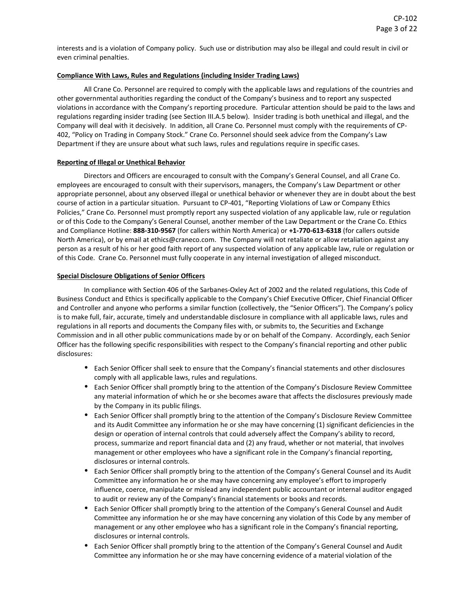interests and is a violation of Company policy. Such use or distribution may also be illegal and could result in civil or even criminal penalties.

## **Compliance With Laws, Rules and Regulations (including Insider Trading Laws)**

All Crane Co. Personnel are required to comply with the applicable laws and regulations of the countries and other governmental authorities regarding the conduct of the Company's business and to report any suspected violations in accordance with the Company's reporting procedure. Particular attention should be paid to the laws and regulations regarding insider trading (see Section III.A.5 below). Insider trading is both unethical and illegal, and the Company will deal with it decisively. In addition, all Crane Co. Personnel must comply with the requirements of CP-402, "Policy on Trading in Company Stock." Crane Co. Personnel should seek advice from the Company's Law Department if they are unsure about what such laws, rules and regulations require in specific cases.

## **Reporting of Illegal or Unethical Behavior**

Directors and Officers are encouraged to consult with the Company's General Counsel, and all Crane Co. employees are encouraged to consult with their supervisors, managers, the Company's Law Department or other appropriate personnel, about any observed illegal or unethical behavior or whenever they are in doubt about the best course of action in a particular situation. Pursuant to CP-401, "Reporting Violations of Law or Company Ethics Policies," Crane Co. Personnel must promptly report any suspected violation of any applicable law, rule or regulation or of this Code to the Company's General Counsel, another member of the Law Department or the Crane Co. Ethics and Compliance Hotline: **888-310-9567** (for callers within North America) or **+1-770-613-6318** (for callers outside North America), or by email at ethics@craneco.com. The Company will not retaliate or allow retaliation against any person as a result of his or her good faith report of any suspected violation of any applicable law, rule or regulation or of this Code. Crane Co. Personnel must fully cooperate in any internal investigation of alleged misconduct.

#### **Special Disclosure Obligations of Senior Officers**

In compliance with Section 406 of the Sarbanes-Oxley Act of 2002 and the related regulations, this Code of Business Conduct and Ethics is specifically applicable to the Company's Chief Executive Officer, Chief Financial Officer and Controller and anyone who performs a similar function (collectively, the "Senior Officers"). The Company's policy is to make full, fair, accurate, timely and understandable disclosure in compliance with all applicable laws, rules and regulations in all reports and documents the Company files with, or submits to, the Securities and Exchange Commission and in all other public communications made by or on behalf of the Company. Accordingly, each Senior Officer has the following specific responsibilities with respect to the Company's financial reporting and other public disclosures:

- Each Senior Officer shall seek to ensure that the Company's financial statements and other disclosures comply with all applicable laws, rules and regulations.
- Each Senior Officer shall promptly bring to the attention of the Company's Disclosure Review Committee any material information of which he or she becomes aware that affects the disclosures previously made by the Company in its public filings.
- Each Senior Officer shall promptly bring to the attention of the Company's Disclosure Review Committee and its Audit Committee any information he or she may have concerning (1) significant deficiencies in the design or operation of internal controls that could adversely affect the Company's ability to record, process, summarize and report financial data and (2) any fraud, whether or not material, that involves management or other employees who have a significant role in the Company's financial reporting, disclosures or internal controls.
- Each Senior Officer shall promptly bring to the attention of the Company's General Counsel and its Audit Committee any information he or she may have concerning any employee's effort to improperly influence, coerce, manipulate or mislead any independent public accountant or internal auditor engaged to audit or review any of the Company's financial statements or books and records.
- Each Senior Officer shall promptly bring to the attention of the Company's General Counsel and Audit Committee any information he or she may have concerning any violation of this Code by any member of management or any other employee who has a significant role in the Company's financial reporting, disclosures or internal controls.
- Each Senior Officer shall promptly bring to the attention of the Company's General Counsel and Audit Committee any information he or she may have concerning evidence of a material violation of the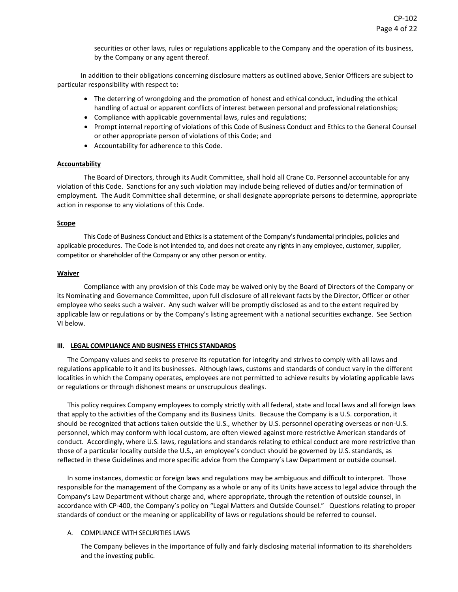securities or other laws, rules or regulations applicable to the Company and the operation of its business, by the Company or any agent thereof.

In addition to their obligations concerning disclosure matters as outlined above, Senior Officers are subject to particular responsibility with respect to:

- The deterring of wrongdoing and the promotion of honest and ethical conduct, including the ethical handling of actual or apparent conflicts of interest between personal and professional relationships;
- Compliance with applicable governmental laws, rules and regulations;
- Prompt internal reporting of violations of this Code of Business Conduct and Ethics to the General Counsel or other appropriate person of violations of this Code; and
- Accountability for adherence to this Code.

#### **Accountability**

The Board of Directors, through its Audit Committee, shall hold all Crane Co. Personnel accountable for any violation of this Code. Sanctions for any such violation may include being relieved of duties and/or termination of employment. The Audit Committee shall determine, or shall designate appropriate persons to determine, appropriate action in response to any violations of this Code.

#### **Scope**

This Code of Business Conduct and Ethics is a statement of the Company's fundamental principles, policies and applicable procedures. The Code is not intended to, and does not create any rights in any employee, customer, supplier, competitor or shareholder of the Company or any other person or entity.

#### **Waiver**

Compliance with any provision of this Code may be waived only by the Board of Directors of the Company or its Nominating and Governance Committee, upon full disclosure of all relevant facts by the Director, Officer or other employee who seeks such a waiver. Any such waiver will be promptly disclosed as and to the extent required by applicable law or regulations or by the Company's listing agreement with a national securities exchange. See Section VI below.

## **III. LEGAL COMPLIANCE AND BUSINESS ETHICS STANDARDS**

The Company values and seeks to preserve its reputation for integrity and strives to comply with all laws and regulations applicable to it and its businesses. Although laws, customs and standards of conduct vary in the different localities in which the Company operates, employees are not permitted to achieve results by violating applicable laws or regulations or through dishonest means or unscrupulous dealings.

This policy requires Company employees to comply strictly with all federal, state and local laws and all foreign laws that apply to the activities of the Company and its Business Units. Because the Company is a U.S. corporation, it should be recognized that actions taken outside the U.S., whether by U.S. personnel operating overseas or non-U.S. personnel, which may conform with local custom, are often viewed against more restrictive American standards of conduct. Accordingly, where U.S. laws, regulations and standards relating to ethical conduct are more restrictive than those of a particular locality outside the U.S., an employee's conduct should be governed by U.S. standards, as reflected in these Guidelines and more specific advice from the Company's Law Department or outside counsel.

In some instances, domestic or foreign laws and regulations may be ambiguous and difficult to interpret. Those responsible for the management of the Company as a whole or any of its Units have access to legal advice through the Company's Law Department without charge and, where appropriate, through the retention of outside counsel, in accordance with CP-400, the Company's policy on "Legal Matters and Outside Counsel." Questions relating to proper standards of conduct or the meaning or applicability of laws or regulations should be referred to counsel.

## A. COMPLIANCE WITH SECURITIES LAWS

The Company believes in the importance of fully and fairly disclosing material information to its shareholders and the investing public.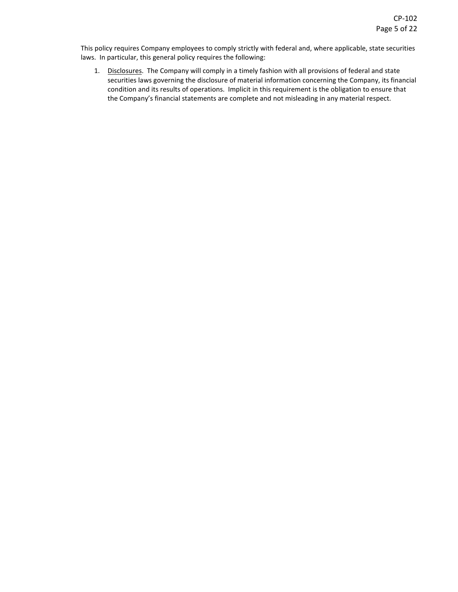This policy requires Company employees to comply strictly with federal and, where applicable, state securities laws. In particular, this general policy requires the following:

1. Disclosures. The Company will comply in a timely fashion with all provisions of federal and state securities laws governing the disclosure of material information concerning the Company, its financial condition and its results of operations. Implicit in this requirement is the obligation to ensure that the Company's financial statements are complete and not misleading in any material respect.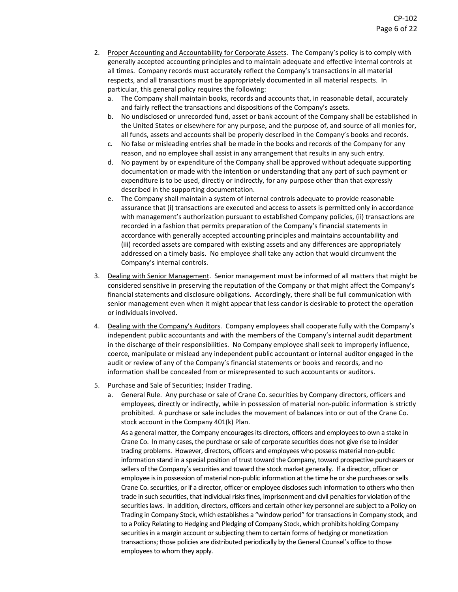- 2. Proper Accounting and Accountability for Corporate Assets. The Company's policy is to comply with generally accepted accounting principles and to maintain adequate and effective internal controls at all times. Company records must accurately reflect the Company's transactions in all material respects, and all transactions must be appropriately documented in all material respects. In particular, this general policy requires the following:
	- a. The Company shall maintain books, records and accounts that, in reasonable detail, accurately and fairly reflect the transactions and dispositions of the Company's assets.
	- b. No undisclosed or unrecorded fund, asset or bank account of the Company shall be established in the United States or elsewhere for any purpose, and the purpose of, and source of all monies for, all funds, assets and accounts shall be properly described in the Company's books and records.
	- c. No false or misleading entries shall be made in the books and records of the Company for any reason, and no employee shall assist in any arrangement that results in any such entry.
	- d. No payment by or expenditure of the Company shall be approved without adequate supporting documentation or made with the intention or understanding that any part of such payment or expenditure is to be used, directly or indirectly, for any purpose other than that expressly described in the supporting documentation.
	- e. The Company shall maintain a system of internal controls adequate to provide reasonable assurance that (i) transactions are executed and access to assets is permitted only in accordance with management's authorization pursuant to established Company policies, (ii) transactions are recorded in a fashion that permits preparation of the Company's financial statements in accordance with generally accepted accounting principles and maintains accountability and (iii) recorded assets are compared with existing assets and any differences are appropriately addressed on a timely basis. No employee shall take any action that would circumvent the Company's internal controls.
- 3. Dealing with Senior Management. Senior management must be informed of all matters that might be considered sensitive in preserving the reputation of the Company or that might affect the Company's financial statements and disclosure obligations. Accordingly, there shall be full communication with senior management even when it might appear that less candor is desirable to protect the operation or individuals involved.
- 4. Dealing with the Company's Auditors. Company employees shall cooperate fully with the Company's independent public accountants and with the members of the Company's internal audit department in the discharge of their responsibilities. No Company employee shall seek to improperly influence, coerce, manipulate or mislead any independent public accountant or internal auditor engaged in the audit or review of any of the Company's financial statements or books and records, and no information shall be concealed from or misrepresented to such accountants or auditors.
- 5. Purchase and Sale of Securities; Insider Trading.
	- a. General Rule. Any purchase or sale of Crane Co. securities by Company directors, officers and employees, directly or indirectly, while in possession of material non-public information is strictly prohibited. A purchase or sale includes the movement of balances into or out of the Crane Co. stock account in the Company 401(k) Plan.

As a general matter, the Company encourages its directors, officers and employees to own a stake in Crane Co. In many cases, the purchase or sale of corporate securities does not give rise to insider trading problems. However, directors, officers and employees who possess material non-public information stand in a special position of trust toward the Company, toward prospective purchasers or sellers of the Company's securities and toward the stock market generally. If a director, officer or employee is in possession of material non-public information at the time he or she purchases or sells Crane Co. securities, or if a director, officer or employee discloses such information to others who then trade in such securities, that individual risks fines, imprisonment and civil penalties for violation of the securities laws. In addition, directors, officers and certain other key personnel are subject to a Policy on Trading in Company Stock, which establishes a "window period" for transactions in Company stock, and to a Policy Relating to Hedging and Pledging of Company Stock, which prohibits holding Company securities in a margin account or subjecting them to certain forms of hedging or monetization transactions; those policies are distributed periodically by the General Counsel's office to those employees to whom they apply.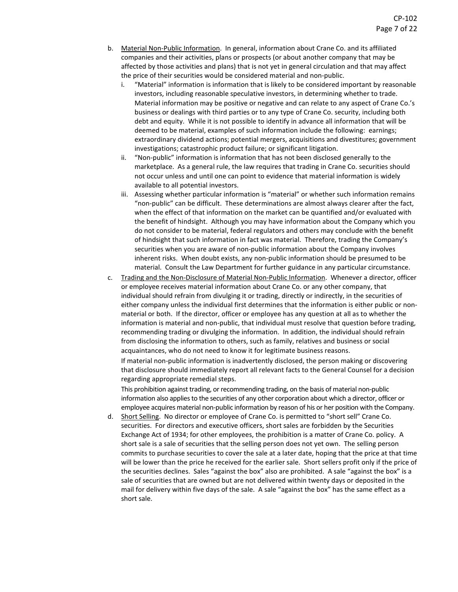- b. Material Non-Public Information. In general, information about Crane Co. and its affiliated companies and their activities, plans or prospects (or about another company that may be affected by those activities and plans) that is not yet in general circulation and that may affect the price of their securities would be considered material and non-public.
	- i. "Material" information is information that is likely to be considered important by reasonable investors, including reasonable speculative investors, in determining whether to trade. Material information may be positive or negative and can relate to any aspect of Crane Co.'s business or dealings with third parties or to any type of Crane Co. security, including both debt and equity. While it is not possible to identify in advance all information that will be deemed to be material, examples of such information include the following: earnings; extraordinary dividend actions; potential mergers, acquisitions and divestitures; government investigations; catastrophic product failure; or significant litigation.
	- ii. "Non-public" information is information that has not been disclosed generally to the marketplace. As a general rule, the law requires that trading in Crane Co. securities should not occur unless and until one can point to evidence that material information is widely available to all potential investors.
	- iii. Assessing whether particular information is "material" or whether such information remains "non-public" can be difficult. These determinations are almost always clearer after the fact, when the effect of that information on the market can be quantified and/or evaluated with the benefit of hindsight. Although you may have information about the Company which you do not consider to be material, federal regulators and others may conclude with the benefit of hindsight that such information in fact was material. Therefore, trading the Company's securities when you are aware of non-public information about the Company involves inherent risks. When doubt exists, any non-public information should be presumed to be material. Consult the Law Department for further guidance in any particular circumstance.
- c. Trading and the Non-Disclosure of Material Non-Public Information. Whenever a director, officer or employee receives material information about Crane Co. or any other company, that individual should refrain from divulging it or trading, directly or indirectly, in the securities of either company unless the individual first determines that the information is either public or nonmaterial or both. If the director, officer or employee has any question at all as to whether the information is material and non-public, that individual must resolve that question before trading, recommending trading or divulging the information. In addition, the individual should refrain from disclosing the information to others, such as family, relatives and business or social acquaintances, who do not need to know it for legitimate business reasons.

If material non-public information is inadvertently disclosed, the person making or discovering that disclosure should immediately report all relevant facts to the General Counsel for a decision regarding appropriate remedial steps.

This prohibition against trading, or recommending trading, on the basis of material non-public information also applies to the securities of any other corporation about which a director, officer or employee acquires material non-public information by reason of his or her position with the Company.

d. Short Selling. No director or employee of Crane Co. is permitted to "short sell" Crane Co. securities. For directors and executive officers, short sales are forbidden by the Securities Exchange Act of 1934; for other employees, the prohibition is a matter of Crane Co. policy. A short sale is a sale of securities that the selling person does not yet own. The selling person commits to purchase securities to cover the sale at a later date, hoping that the price at that time will be lower than the price he received for the earlier sale. Short sellers profit only if the price of the securities declines. Sales "against the box" also are prohibited. A sale "against the box" is a sale of securities that are owned but are not delivered within twenty days or deposited in the mail for delivery within five days of the sale. A sale "against the box" has the same effect as a short sale.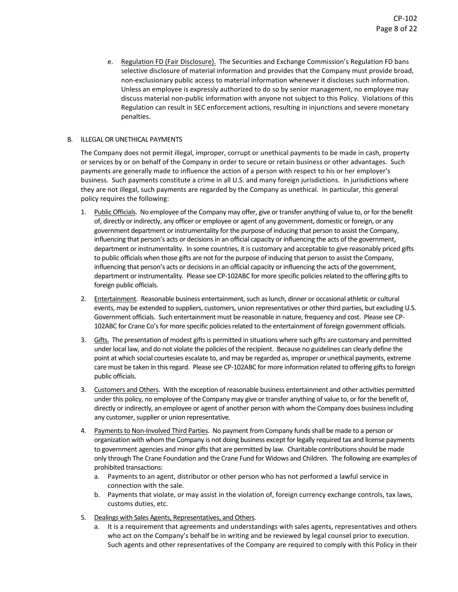e. Regulation FD (Fair Disclosure). The Securities and Exchange Commission's Regulation FD bans selective disclosure of material information and provides that the Company must provide broad, non-exclusionary public access to material information whenever it discloses such information. Unless an employee is expressly authorized to do so by senior management, no employee may discuss material non-public information with anyone not subject to this Policy. Violations of this Regulation can result in SEC enforcement actions, resulting in injunctions and severe monetary penalties.

## B. ILLEGAL OR UNETHICAL PAYMENTS

The Company does not permit illegal, improper, corrupt or unethical payments to be made in cash, property or services by or on behalf of the Company in order to secure or retain business or other advantages. Such payments are generally made to influence the action of a person with respect to his or her employer's business. Such payments constitute a crime in all U.S. and many foreign jurisdictions. In jurisdictions where they are not illegal, such payments are regarded by the Company as unethical. In particular, this general policy requires the following:

- 1. Public Officials. No employee of the Company may offer, give or transfer anything of value to, or for the benefit of, directly or indirectly, any officer or employee or agent of any government, domestic or foreign, or any government department or instrumentality for the purpose of inducing that person to assist the Company, influencing that person's acts or decisions in an official capacity or influencing the acts of the government, department or instrumentality. In some countries, it is customary and acceptable to give reasonably priced gifts to public officials when those gifts are not for the purpose of inducing that person to assist the Company, influencing that person's acts or decisions in an official capacity or influencing the acts of the government, department or instrumentality. Please see CP-102ABC for more specific policies related to the offering gifts to foreign public officials.
- 2. Entertainment. Reasonable business entertainment, such as lunch, dinner or occasional athletic or cultural events, may be extended to suppliers, customers, union representatives or other third parties, but excluding U.S. Government officials. Such entertainment must be reasonable in nature, frequency and cost. Please see CP-102ABC for Crane Co's for more specific policies related to the entertainment of foreign government officials.
- 3. Gifts. The presentation of modest gifts is permitted in situations where such gifts are customary and permitted under local law, and do not violate the policies of the recipient. Because no guidelines can clearly define the point at which social courtesies escalate to, and may be regarded as, improper or unethical payments, extreme care must be taken in this regard. Please see CP-102ABC for more information related to offering gifts to foreign public officials.
- 3. Customers and Others. With the exception of reasonable business entertainment and other activities permitted under this policy, no employee of the Company may give or transfer anything of value to, or for the benefit of, directly or indirectly, an employee or agent of another person with whom the Company does business including any customer, supplier or union representative.
- 4. Payments to Non-Involved Third Parties. No payment from Company funds shall be made to a person or organization with whom the Company is not doing business except for legally required tax and license payments to government agencies and minor gifts that are permitted by law. Charitable contributions should be made only through The Crane Foundation and the Crane Fund for Widows and Children. The following are examples of prohibited transactions:
	- a. Payments to an agent, distributor or other person who has not performed a lawful service in connection with the sale.
	- b. Payments that violate, or may assist in the violation of, foreign currency exchange controls, tax laws, customs duties, etc.
- 5. Dealings with Sales Agents, Representatives, and Others.
	- a. It is a requirement that agreements and understandings with sales agents, representatives and others who act on the Company's behalf be in writing and be reviewed by legal counsel prior to execution. Such agents and other representatives of the Company are required to comply with this Policy in their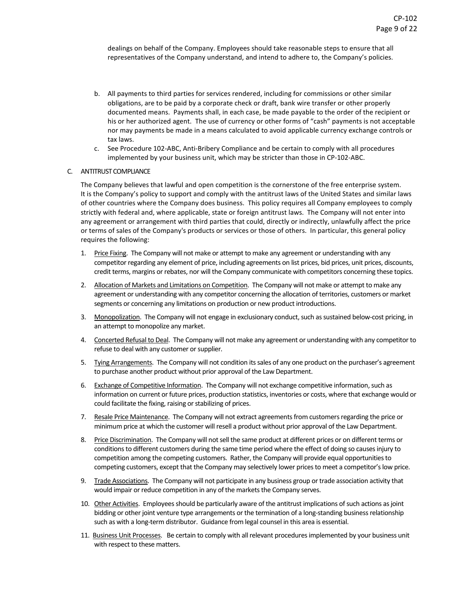dealings on behalf of the Company. Employees should take reasonable steps to ensure that all representatives of the Company understand, and intend to adhere to, the Company's policies.

- b. All payments to third parties for services rendered, including for commissions or other similar obligations, are to be paid by a corporate check or draft, bank wire transfer or other properly documented means. Payments shall, in each case, be made payable to the order of the recipient or his or her authorized agent. The use of currency or other forms of "cash" payments is not acceptable nor may payments be made in a means calculated to avoid applicable currency exchange controls or tax laws.
- c. See Procedure 102-ABC, Anti-Bribery Compliance and be certain to comply with all procedures implemented by your business unit, which may be stricter than those in CP-102-ABC.

#### C. ANTITRUST COMPLIANCE

The Company believes that lawful and open competition is the cornerstone of the free enterprise system. It is the Company's policy to support and comply with the antitrust laws of the United States and similar laws of other countries where the Company does business. This policy requires all Company employees to comply strictly with federal and, where applicable, state or foreign antitrust laws. The Company will not enter into any agreement or arrangement with third parties that could, directly or indirectly, unlawfully affect the price or terms of sales of the Company's products or services or those of others. In particular, this general policy requires the following:

- 1. Price Fixing. The Company will not make or attempt to make any agreement or understanding with any competitor regarding any element of price, including agreements on list prices, bid prices, unit prices, discounts, credit terms, margins or rebates, nor will the Company communicate with competitors concerning these topics.
- 2. Allocation of Markets and Limitations on Competition. The Company will not make or attempt to make any agreement or understanding with any competitor concerning the allocation of territories, customers or market segments or concerning any limitations on production or new product introductions.
- 3. Monopolization. The Company will not engage in exclusionary conduct, such as sustained below-cost pricing, in an attempt to monopolize any market.
- 4. Concerted Refusal to Deal. The Company will not make any agreement or understanding with any competitor to refuse to deal with any customer or supplier.
- 5. Tying Arrangements. The Company will not condition its sales of any one product on the purchaser's agreement to purchase another product without prior approval of the Law Department.
- 6. Exchange of Competitive Information. The Company will not exchange competitive information, such as information on current or future prices, production statistics, inventories or costs, where that exchange would or could facilitate the fixing, raising or stabilizing of prices.
- 7. Resale Price Maintenance. The Company will not extract agreements from customers regarding the price or minimum price at which the customer will resell a product without prior approval of the Law Department.
- 8. Price Discrimination. The Company will not sell the same product at different prices or on different terms or conditions to different customers during the same time period where the effect of doing so causes injury to competition among the competing customers. Rather, the Company will provide equal opportunities to competing customers, except that the Company may selectively lower prices to meet a competitor's low price.
- 9. Trade Associations. The Company will not participate in any business group or trade association activity that would impair or reduce competition in any of the markets the Company serves.
- 10. Other Activities. Employees should be particularly aware of the antitrust implications of such actions as joint bidding or other joint venture type arrangements or the termination of a long-standing business relationship such as with a long-term distributor. Guidance from legal counsel in this area is essential.
- 11. Business Unit Processes. Be certain to comply with all relevant procedures implemented by your business unit with respect to these matters.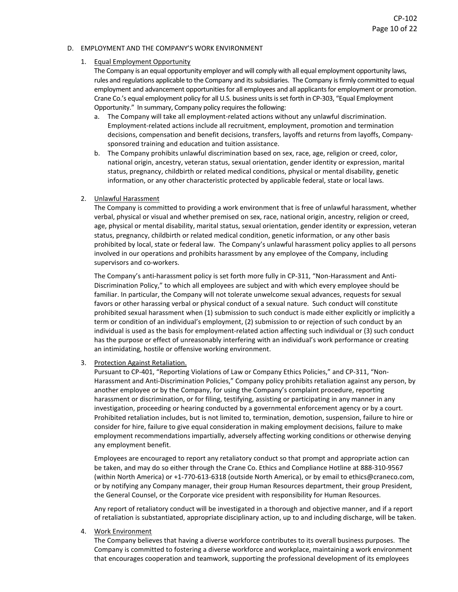#### D. EMPLOYMENT AND THE COMPANY'S WORK ENVIRONMENT

#### 1. Equal Employment Opportunity

The Company is an equal opportunity employer and will comply with all equal employment opportunity laws, rules and regulations applicable to the Company and its subsidiaries. The Company isfirmly committed to equal employment and advancement opportunities for all employees and all applicants for employment or promotion. Crane Co.'s equal employment policy for all U.S. business units is set forth in CP-303, "Equal Employment Opportunity." In summary, Company policy requires the following:

- a. The Company will take all employment-related actions without any unlawful discrimination. Employment-related actions include all recruitment, employment, promotion and termination decisions, compensation and benefit decisions, transfers, layoffs and returns from layoffs, Companysponsored training and education and tuition assistance.
- b. The Company prohibits unlawful discrimination based on sex, race, age, religion or creed, color, national origin, ancestry, veteran status, sexual orientation, gender identity or expression, marital status, pregnancy, childbirth or related medical conditions, physical or mental disability, genetic information, or any other characteristic protected by applicable federal, state or local laws.

#### 2. Unlawful Harassment

The Company is committed to providing a work environment that is free of unlawful harassment, whether verbal, physical or visual and whether premised on sex, race, national origin, ancestry, religion or creed, age, physical or mental disability, marital status, sexual orientation, gender identity or expression, veteran status, pregnancy, childbirth or related medical condition, genetic information, or any other basis prohibited by local, state or federal law. The Company's unlawful harassment policy applies to all persons involved in our operations and prohibits harassment by any employee of the Company, including supervisors and co-workers.

The Company's anti-harassment policy is set forth more fully in CP-311, "Non-Harassment and Anti-Discrimination Policy," to which all employees are subject and with which every employee should be familiar. In particular, the Company will not tolerate unwelcome sexual advances, requests for sexual favors or other harassing verbal or physical conduct of a sexual nature. Such conduct will constitute prohibited sexual harassment when (1) submission to such conduct is made either explicitly or implicitly a term or condition of an individual's employment, (2) submission to or rejection of such conduct by an individual is used as the basis for employment-related action affecting such individual or (3) such conduct has the purpose or effect of unreasonably interfering with an individual's work performance or creating an intimidating, hostile or offensive working environment.

#### 3. Protection Against Retaliation.

Pursuant to CP-401, "Reporting Violations of Law or Company Ethics Policies," and CP-311, "Non-Harassment and Anti-Discrimination Policies," Company policy prohibits retaliation against any person, by another employee or by the Company, for using the Company's complaint procedure, reporting harassment or discrimination, or for filing, testifying, assisting or participating in any manner in any investigation, proceeding or hearing conducted by a governmental enforcement agency or by a court. Prohibited retaliation includes, but is not limited to, termination, demotion, suspension, failure to hire or consider for hire, failure to give equal consideration in making employment decisions, failure to make employment recommendations impartially, adversely affecting working conditions or otherwise denying any employment benefit.

Employees are encouraged to report any retaliatory conduct so that prompt and appropriate action can be taken, and may do so either through the Crane Co. Ethics and Compliance Hotline at 888-310-9567 (within North America) or +1-770-613-6318 (outside North America), or by email to ethics@craneco.com, or by notifying any Company manager, their group Human Resources department, their group President, the General Counsel, or the Corporate vice president with responsibility for Human Resources.

Any report of retaliatory conduct will be investigated in a thorough and objective manner, and if a report of retaliation is substantiated, appropriate disciplinary action, up to and including discharge, will be taken.

#### 4. Work Environment

The Company believes that having a diverse workforce contributes to its overall business purposes. The Company is committed to fostering a diverse workforce and workplace, maintaining a work environment that encourages cooperation and teamwork, supporting the professional development of its employees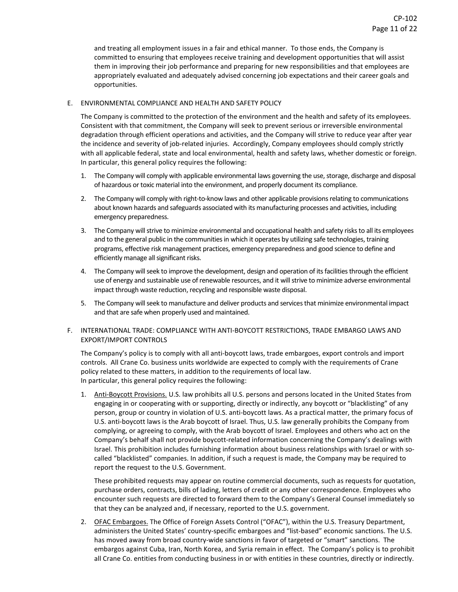and treating all employment issues in a fair and ethical manner. To those ends, the Company is committed to ensuring that employees receive training and development opportunities that will assist them in improving their job performance and preparing for new responsibilities and that employees are appropriately evaluated and adequately advised concerning job expectations and their career goals and opportunities.

## E. ENVIRONMENTAL COMPLIANCE AND HEALTH AND SAFETY POLICY

The Company is committed to the protection of the environment and the health and safety of its employees. Consistent with that commitment, the Company will seek to prevent serious or irreversible environmental degradation through efficient operations and activities, and the Company will strive to reduce year after year the incidence and severity of job-related injuries. Accordingly, Company employees should comply strictly with all applicable federal, state and local environmental, health and safety laws, whether domestic or foreign. In particular, this general policy requires the following:

- 1. The Company will comply with applicable environmental laws governing the use, storage, discharge and disposal of hazardous or toxic material into the environment, and properly document its compliance.
- 2. The Company will comply with right-to-know laws and other applicable provisions relating to communications about known hazards and safeguards associated with its manufacturing processes and activities, including emergency preparedness.
- 3. The Company will strive to minimize environmental and occupational health and safety risks to all its employees and to the general public in the communities in which it operates by utilizing safe technologies, training programs, effective risk management practices, emergency preparedness and good science to define and efficiently manage all significant risks.
- 4. The Company will seek to improve the development, design and operation of its facilities through the efficient use of energy and sustainable use of renewable resources, and it will strive to minimize adverse environmental impact through waste reduction, recycling and responsible waste disposal.
- 5. The Company will seek to manufacture and deliver products and services that minimize environmental impact and that are safe when properly used and maintained.

## F. INTERNATIONAL TRADE: COMPLIANCE WITH ANTI-BOYCOTT RESTRICTIONS, TRADE EMBARGO LAWS AND EXPORT/IMPORT CONTROLS

The Company's policy is to comply with all anti-boycott laws, trade embargoes, export controls and import controls. All Crane Co. business units worldwide are expected to comply with the requirements of Crane policy related to these matters, in addition to the requirements of local law. In particular, this general policy requires the following:

1. Anti-Boycott Provisions. U.S. law prohibits all U.S. persons and persons located in the United States from engaging in or cooperating with or supporting, directly or indirectly, any boycott or "blacklisting" of any person, group or country in violation of U.S. anti-boycott laws. As a practical matter, the primary focus of U.S. anti-boycott laws is the Arab boycott of Israel. Thus, U.S. law generally prohibits the Company from complying, or agreeing to comply, with the Arab boycott of Israel. Employees and others who act on the Company's behalf shall not provide boycott-related information concerning the Company's dealings with Israel. This prohibition includes furnishing information about business relationships with Israel or with socalled "blacklisted" companies. In addition, if such a request is made, the Company may be required to report the request to the U.S. Government.

These prohibited requests may appear on routine commercial documents, such as requests for quotation, purchase orders, contracts, bills of lading, letters of credit or any other correspondence. Employees who encounter such requests are directed to forward them to the Company's General Counsel immediately so that they can be analyzed and, if necessary, reported to the U.S. government.

2. OFAC Embargoes. The Office of Foreign Assets Control ("OFAC"), within the U.S. Treasury Department, administers the United States' country-specific embargoes and "list-based" economic sanctions. The U.S. has moved away from broad country-wide sanctions in favor of targeted or "smart" sanctions. The embargos against Cuba, Iran, North Korea, and Syria remain in effect. The Company's policy is to prohibit all Crane Co. entities from conducting business in or with entities in these countries, directly or indirectly.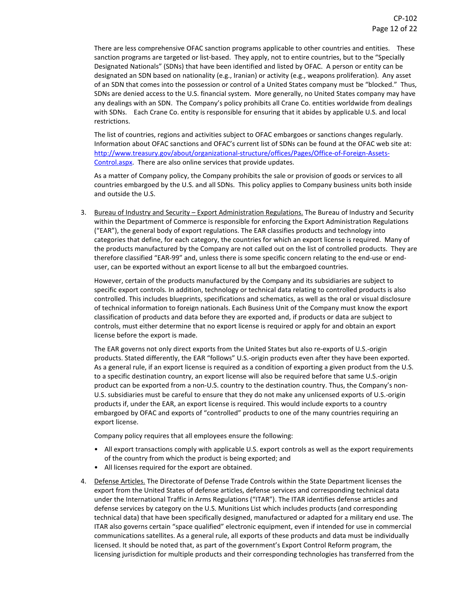There are less comprehensive OFAC sanction programs applicable to other countries and entities. These sanction programs are targeted or list-based. They apply, not to entire countries, but to the "Specially Designated Nationals" (SDNs) that have been identified and listed by OFAC. A person or entity can be designated an SDN based on nationality (e.g., Iranian) or activity (e.g., weapons proliferation). Any asset of an SDN that comes into the possession or control of a United States company must be "blocked." Thus, SDNs are denied access to the U.S. financial system. More generally, no United States company may have any dealings with an SDN. The Company's policy prohibits all Crane Co. entities worldwide from dealings with SDNs. Each Crane Co. entity is responsible for ensuring that it abides by applicable U.S. and local restrictions.

The list of countries, regions and activities subject to OFAC embargoes or sanctions changes regularly. Information about OFAC sanctions and OFAC's current list of SDNs can be found at the OFAC web site at: [http://www.treasury.gov/about/organizational-structure/offices/Pages/Office-of-Foreign-Assets-](http://www.treasury.gov/about/organizational-structure/offices/Pages/Office-of-Foreign-Assets-Control.aspx)[Control.aspx.](http://www.treasury.gov/about/organizational-structure/offices/Pages/Office-of-Foreign-Assets-Control.aspx) There are also online services that provide updates.

As a matter of Company policy, the Company prohibits the sale or provision of goods or services to all countries embargoed by the U.S. and all SDNs. This policy applies to Company business units both inside and outside the U.S.

3. Bureau of Industry and Security - Export Administration Regulations. The Bureau of Industry and Security within the Department of Commerce is responsible for enforcing the Export Administration Regulations ("EAR"), the general body of export regulations. The EAR classifies products and technology into categories that define, for each category, the countries for which an export license is required. Many of the products manufactured by the Company are not called out on the list of controlled products. They are therefore classified "EAR-99" and, unless there is some specific concern relating to the end-use or enduser, can be exported without an export license to all but the embargoed countries.

However, certain of the products manufactured by the Company and its subsidiaries are subject to specific export controls. In addition, technology or technical data relating to controlled products is also controlled. This includes blueprints, specifications and schematics, as well as the oral or visual disclosure of technical information to foreign nationals. Each Business Unit of the Company must know the export classification of products and data before they are exported and, if products or data are subject to controls, must either determine that no export license is required or apply for and obtain an export license before the export is made.

The EAR governs not only direct exports from the United States but also re-exports of U.S.-origin products. Stated differently, the EAR "follows" U.S.-origin products even after they have been exported. As a general rule, if an export license is required as a condition of exporting a given product from the U.S. to a specific destination country, an export license will also be required before that same U.S.-origin product can be exported from a non-U.S. country to the destination country. Thus, the Company's non-U.S. subsidiaries must be careful to ensure that they do not make any unlicensed exports of U.S.-origin products if, under the EAR, an export license is required. This would include exports to a country embargoed by OFAC and exports of "controlled" products to one of the many countries requiring an export license.

Company policy requires that all employees ensure the following:

- All export transactions comply with applicable U.S. export controls as well as the export requirements of the country from which the product is being exported; and
- All licenses required for the export are obtained.
- 4. Defense Articles. The Directorate of Defense Trade Controls within the State Department licenses the export from the United States of defense articles, defense services and corresponding technical data under the International Traffic in Arms Regulations ("ITAR"). The ITAR identifies defense articles and defense services by category on the U.S. Munitions List which includes products (and corresponding technical data) that have been specifically designed, manufactured or adapted for a military end use. The ITAR also governs certain "space qualified" electronic equipment, even if intended for use in commercial communications satellites. As a general rule, all exports of these products and data must be individually licensed. It should be noted that, as part of the government's Export Control Reform program, the licensing jurisdiction for multiple products and their corresponding technologies has transferred from the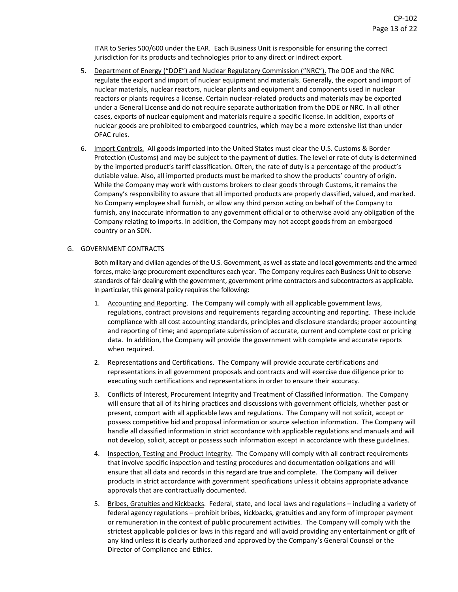ITAR to Series 500/600 under the EAR. Each Business Unit is responsible for ensuring the correct jurisdiction for its products and technologies prior to any direct or indirect export.

- 5. Department of Energy ("DOE") and Nuclear Regulatory Commission ("NRC"). The DOE and the NRC regulate the export and import of nuclear equipment and materials. Generally, the export and import of nuclear materials, nuclear reactors, nuclear plants and equipment and components used in nuclear reactors or plants requires a license. Certain nuclear-related products and materials may be exported under a General License and do not require separate authorization from the DOE or NRC. In all other cases, exports of nuclear equipment and materials require a specific license. In addition, exports of nuclear goods are prohibited to embargoed countries, which may be a more extensive list than under OFAC rules.
- 6. Import Controls. All goods imported into the United States must clear the U.S. Customs & Border Protection (Customs) and may be subject to the payment of duties. The level or rate of duty is determined by the imported product's tariff classification. Often, the rate of duty is a percentage of the product's dutiable value. Also, all imported products must be marked to show the products' country of origin. While the Company may work with customs brokers to clear goods through Customs, it remains the Company's responsibility to assure that all imported products are properly classified, valued, and marked. No Company employee shall furnish, or allow any third person acting on behalf of the Company to furnish, any inaccurate information to any government official or to otherwise avoid any obligation of the Company relating to imports. In addition, the Company may not accept goods from an embargoed country or an SDN.

#### G. GOVERNMENT CONTRACTS

Both military and civilian agencies of the U.S. Government, as well as state and local governments and the armed forces, make large procurement expenditures each year. The Company requires each Business Unit to observe standards of fair dealing with the government, government prime contractors and subcontractors as applicable. In particular, this general policy requires the following:

- 1. Accounting and Reporting. The Company will comply with all applicable government laws, regulations, contract provisions and requirements regarding accounting and reporting. These include compliance with all cost accounting standards, principles and disclosure standards; proper accounting and reporting of time; and appropriate submission of accurate, current and complete cost or pricing data. In addition, the Company will provide the government with complete and accurate reports when required.
- 2. Representations and Certifications. The Company will provide accurate certifications and representations in all government proposals and contracts and will exercise due diligence prior to executing such certifications and representations in order to ensure their accuracy.
- 3. Conflicts of Interest, Procurement Integrity and Treatment of Classified Information. The Company will ensure that all of its hiring practices and discussions with government officials, whether past or present, comport with all applicable laws and regulations. The Company will not solicit, accept or possess competitive bid and proposal information or source selection information. The Company will handle all classified information in strict accordance with applicable regulations and manuals and will not develop, solicit, accept or possess such information except in accordance with these guidelines.
- 4. Inspection, Testing and Product Integrity. The Company will comply with all contract requirements that involve specific inspection and testing procedures and documentation obligations and will ensure that all data and records in this regard are true and complete. The Company will deliver products in strict accordance with government specifications unless it obtains appropriate advance approvals that are contractually documented.
- 5. Bribes, Gratuities and Kickbacks. Federal, state, and local laws and regulations including a variety of federal agency regulations – prohibit bribes, kickbacks, gratuities and any form of improper payment or remuneration in the context of public procurement activities. The Company will comply with the strictest applicable policies or laws in this regard and will avoid providing any entertainment or gift of any kind unless it is clearly authorized and approved by the Company's General Counsel or the Director of Compliance and Ethics.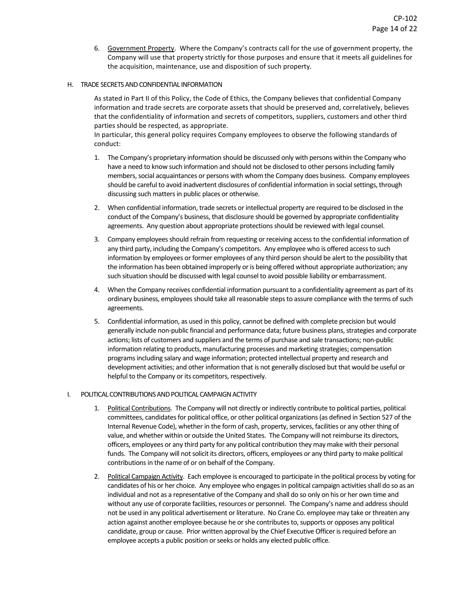6. Government Property. Where the Company's contracts call for the use of government property, the Company will use that property strictly for those purposes and ensure that it meets all guidelines for the acquisition, maintenance, use and disposition of such property.

#### H. TRADE SECRETS AND CONFIDENTIAL INFORMATION

As stated in Part II of this Policy, the Code of Ethics, the Company believes that confidential Company information and trade secrets are corporate assets that should be preserved and, correlatively, believes that the confidentiality of information and secrets of competitors, suppliers, customers and other third parties should be respected, as appropriate.

In particular, this general policy requires Company employees to observe the following standards of conduct:

- 1. The Company's proprietary information should be discussed only with persons within the Company who have a need to know such information and should not be disclosed to other persons including family members, social acquaintances or persons with whom the Company does business. Company employees should be careful to avoid inadvertent disclosures of confidential information in social settings, through discussing such matters in public places or otherwise.
- 2. When confidential information, trade secrets or intellectual property are required to be disclosed in the conduct of the Company's business, that disclosure should be governed by appropriate confidentiality agreements. Any question about appropriate protections should be reviewed with legal counsel.
- 3. Company employees should refrain from requesting or receiving access to the confidential information of any third party, including the Company's competitors. Any employee who is offered access to such information by employees or former employees of any third person should be alert to the possibility that the information has been obtained improperly or is being offered without appropriate authorization; any such situation should be discussed with legal counsel to avoid possible liability or embarrassment.
- 4. When the Company receives confidential information pursuant to a confidentiality agreement as part of its ordinary business, employees should take all reasonable steps to assure compliance with the terms of such agreements.
- 5. Confidential information, as used in this policy, cannot be defined with complete precision but would generally include non-public financial and performance data; future business plans, strategies and corporate actions; lists of customers and suppliers and the terms of purchase and sale transactions; non-public information relating to products, manufacturing processes and marketing strategies; compensation programs including salary and wage information; protected intellectual property and research and development activities; and other information that is not generally disclosed but that would be useful or helpful to the Company or its competitors, respectively.

## I. POLITICAL CONTRIBUTIONS AND POLITICAL CAMPAIGN ACTIVITY

- 1. Political Contributions. The Company will not directly or indirectly contribute to political parties, political committees, candidates for political office, or other political organizations (as defined in Section 527 of the Internal Revenue Code), whether in the form of cash, property, services, facilities or any other thing of value, and whether within or outside the United States. The Company will not reimburse its directors, officers, employees or any third party for any political contribution they may make with their personal funds. The Company will not solicit its directors, officers, employees or any third party to make political contributions in the name of or on behalf of the Company.
- 2. Political Campaign Activity. Each employee is encouraged to participate in the political process by voting for candidates of his or her choice. Any employee who engages in political campaign activities shall do so as an individual and not as a representative of the Company and shall do so only on his or her own time and without any use of corporate facilities, resources or personnel. The Company's name and address should not be used in any political advertisement or literature. No Crane Co. employee may take or threaten any action against another employee because he or she contributes to, supports or opposes any political candidate, group or cause. Prior written approval by the Chief Executive Officer is required before an employee accepts a public position or seeks or holds any elected public office.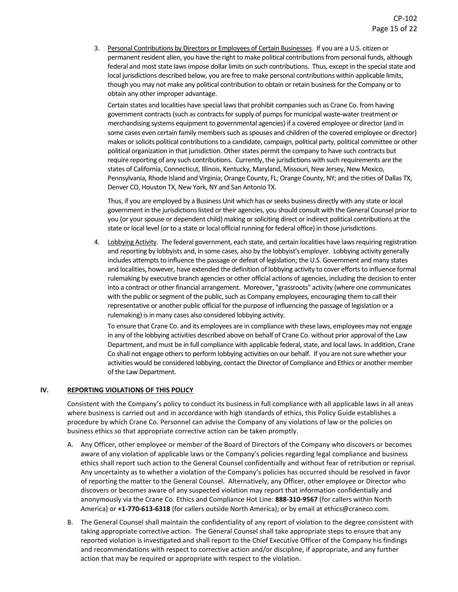3. Personal Contributions by Directors or Employees of Certain Businesses. If you are a U.S. citizen or permanent resident alien, you have the right to make political contributions from personal funds, although federal and most state laws impose dollar limits on such contributions. Thus, except in the special state and local jurisdictions described below, you are free to make personal contributions within applicable limits, though you may not make any political contribution to obtain or retain business for the Company or to obtain any other improper advantage.

Certain states and localities have special laws that prohibit companies such as Crane Co. from having government contracts (such as contracts for supply of pumps for municipal waste-water treatment or merchandising systems equipment to governmental agencies) if a covered employee or director (and in some cases even certain family members such as spouses and children of the covered employee or director) makes or solicits political contributions to a candidate, campaign, political party, political committee or other political organization in that jurisdiction. Other states permit the company to have such contracts but require reporting of any such contributions. Currently, the jurisdictions with such requirements are the states of California, Connecticut, Illinois, Kentucky, Maryland, Missouri, New Jersey, New Mexico, Pennsylvania, Rhode Island and Virginia; Orange County, FL; Orange County, NY; and the cities of Dallas TX, Denver CO, Houston TX, New York, NY and San Antonio TX.

Thus, if you are employed by a Business Unit which has or seeks business directly with any state or local government in the jurisdictions listed or their agencies, you should consult with the General Counsel prior to you (or your spouse or dependent child) making or soliciting direct or indirect political contributions at the state or local level (or to a state or local official running for federal office) in those jurisdictions.

4. Lobbying Activity. The federal government, each state, and certain localities have laws requiring registration and reporting by lobbyists and, in some cases, also by the lobbyist's employer. Lobbying activity generally includes attempts to influence the passage or defeat of legislation; the U.S. Government and many states and localities, however, have extended the definition of lobbying activity to cover efforts to influence formal rulemaking by executive branch agencies or other official actions of agencies, including the decision to enter into a contract or other financial arrangement. Moreover, "grassroots" activity (where one communicates with the public or segment of the public, such as Company employees, encouraging them to call their representative or another public official for the purpose of influencing the passage of legislation or a rulemaking) is in many cases also considered lobbying activity.

To ensure that Crane Co. and its employees are in compliance with these laws, employees may not engage in any of the lobbying activities described above on behalf of Crane Co. without prior approval of the Law Department, and must be in full compliance with applicable federal, state, and local laws. In addition, Crane Co shall not engage others to perform lobbying activities on our behalf. If you are not sure whether your activities would be considered lobbying, contact the Director of Compliance and Ethics or another member of the Law Department.

#### **IV. REPORTING VIOLATIONS OF THIS POLICY**

Consistent with the Company's policy to conduct its business in full compliance with all applicable laws in all areas where business is carried out and in accordance with high standards of ethics, this Policy Guide establishes a procedure by which Crane Co. Personnel can advise the Company of any violations of law or the policies on business ethics so that appropriate corrective action can be taken promptly.

- A. Any Officer, other employee or member of the Board of Directors of the Company who discovers or becomes aware of any violation of applicable laws or the Company's policies regarding legal compliance and business ethics shall report such action to the General Counsel confidentially and without fear of retribution or reprisal. Any uncertainty as to whether a violation of the Company's policies has occurred should be resolved in favor of reporting the matter to the General Counsel. Alternatively, any Officer, other employee or Director who discovers or becomes aware of any suspected violation may report that information confidentially and anonymously via the Crane Co. Ethics and Compliance Hot Line: **888-310-9567** (for callers within North America) or **+1-770-613-6318** (for callers outside North America); or by email at ethics@craneco.com.
- B. The General Counsel shall maintain the confidentiality of any report of violation to the degree consistent with taking appropriate corrective action. The General Counsel shall take appropriate steps to ensure that any reported violation is investigated and shall report to the Chief Executive Officer of the Company his findings and recommendations with respect to corrective action and/or discipline, if appropriate, and any further action that may be required or appropriate with respect to the violation.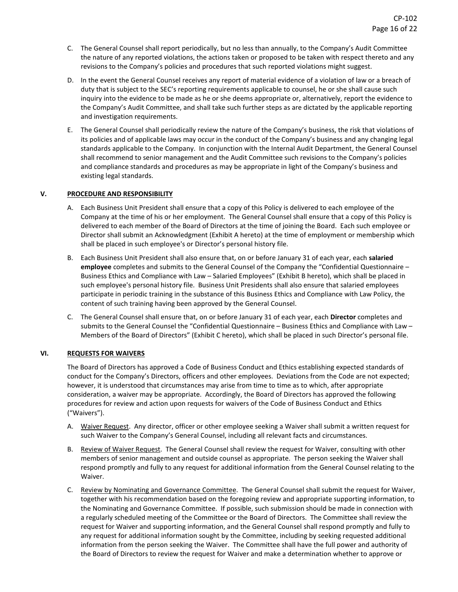- C. The General Counsel shall report periodically, but no less than annually, to the Company's Audit Committee the nature of any reported violations, the actions taken or proposed to be taken with respect thereto and any revisions to the Company's policies and procedures that such reported violations might suggest.
- D. In the event the General Counsel receives any report of material evidence of a violation of law or a breach of duty that is subject to the SEC's reporting requirements applicable to counsel, he or she shall cause such inquiry into the evidence to be made as he or she deems appropriate or, alternatively, report the evidence to the Company's Audit Committee, and shall take such further steps as are dictated by the applicable reporting and investigation requirements.
- E. The General Counsel shall periodically review the nature of the Company's business, the risk that violations of its policies and of applicable laws may occur in the conduct of the Company's business and any changing legal standards applicable to the Company. In conjunction with the Internal Audit Department, the General Counsel shall recommend to senior management and the Audit Committee such revisions to the Company's policies and compliance standards and procedures as may be appropriate in light of the Company's business and existing legal standards.

## **V. PROCEDURE AND RESPONSIBILITY**

- A. Each Business Unit President shall ensure that a copy of this Policy is delivered to each employee of the Company at the time of his or her employment. The General Counsel shall ensure that a copy of this Policy is delivered to each member of the Board of Directors at the time of joining the Board. Each such employee or Director shall submit an Acknowledgment (Exhibit A hereto) at the time of employment or membership which shall be placed in such employee's or Director's personal history file.
- B. Each Business Unit President shall also ensure that, on or before January 31 of each year, each **salaried employee** completes and submits to the General Counsel of the Company the "Confidential Questionnaire – Business Ethics and Compliance with Law – Salaried Employees" (Exhibit B hereto), which shall be placed in such employee's personal history file. Business Unit Presidents shall also ensure that salaried employees participate in periodic training in the substance of this Business Ethics and Compliance with Law Policy, the content of such training having been approved by the General Counsel.
- C. The General Counsel shall ensure that, on or before January 31 of each year, each **Director** completes and submits to the General Counsel the "Confidential Questionnaire – Business Ethics and Compliance with Law – Members of the Board of Directors" (Exhibit C hereto), which shall be placed in such Director's personal file.

## **VI. REQUESTS FOR WAIVERS**

The Board of Directors has approved a Code of Business Conduct and Ethics establishing expected standards of conduct for the Company's Directors, officers and other employees. Deviations from the Code are not expected; however, it is understood that circumstances may arise from time to time as to which, after appropriate consideration, a waiver may be appropriate. Accordingly, the Board of Directors has approved the following procedures for review and action upon requests for waivers of the Code of Business Conduct and Ethics ("Waivers").

- A. Waiver Request. Any director, officer or other employee seeking a Waiver shall submit a written request for such Waiver to the Company's General Counsel, including all relevant facts and circumstances.
- B. Review of Waiver Request. The General Counsel shall review the request for Waiver, consulting with other members of senior management and outside counsel as appropriate. The person seeking the Waiver shall respond promptly and fully to any request for additional information from the General Counsel relating to the Waiver.
- C. Review by Nominating and Governance Committee. The General Counsel shall submit the request for Waiver, together with his recommendation based on the foregoing review and appropriate supporting information, to the Nominating and Governance Committee. If possible, such submission should be made in connection with a regularly scheduled meeting of the Committee or the Board of Directors. The Committee shall review the request for Waiver and supporting information, and the General Counsel shall respond promptly and fully to any request for additional information sought by the Committee, including by seeking requested additional information from the person seeking the Waiver. The Committee shall have the full power and authority of the Board of Directors to review the request for Waiver and make a determination whether to approve or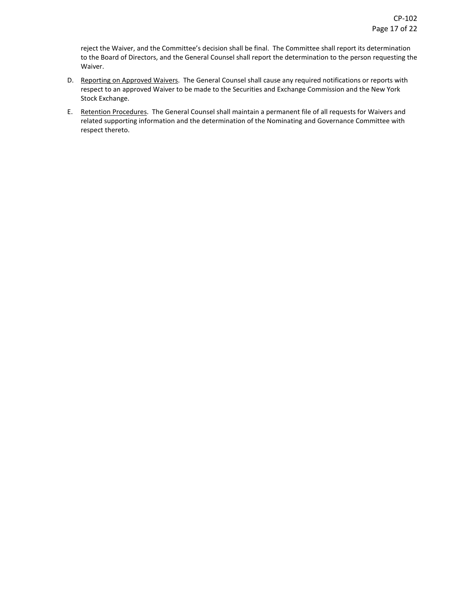reject the Waiver, and the Committee's decision shall be final. The Committee shall report its determination to the Board of Directors, and the General Counsel shall report the determination to the person requesting the Waiver.

- D. Reporting on Approved Waivers. The General Counsel shall cause any required notifications or reports with respect to an approved Waiver to be made to the Securities and Exchange Commission and the New York Stock Exchange.
- E. Retention Procedures. The General Counsel shall maintain a permanent file of all requests for Waivers and related supporting information and the determination of the Nominating and Governance Committee with respect thereto.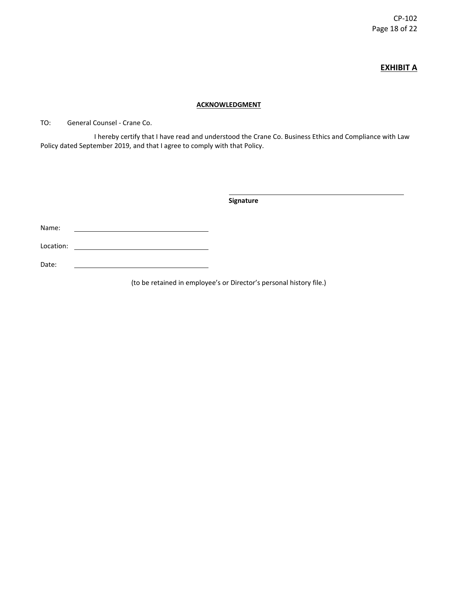CP-102 Page 18 of 22

# **EXHIBIT A**

## **ACKNOWLEDGMENT**

TO: General Counsel - Crane Co.

I hereby certify that I have read and understood the Crane Co. Business Ethics and Compliance with Law Policy dated September 2019, and that I agree to comply with that Policy.

**Signature**

Name:

Location:

Date:

(to be retained in employee's or Director's personal history file.)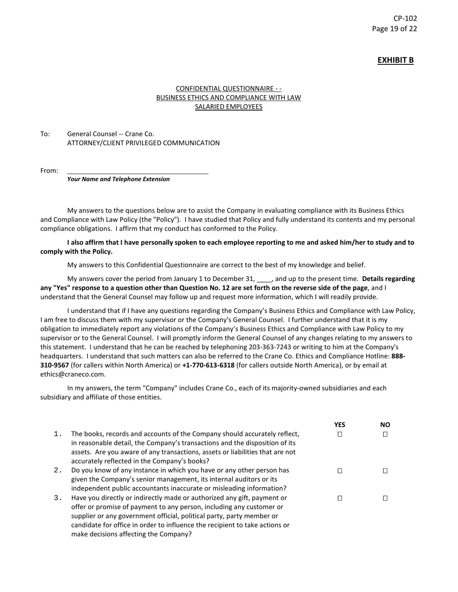## **EXHIBIT B**

## CONFIDENTIAL QUESTIONNAIRE - - BUSINESS ETHICS AND COMPLIANCE WITH LAW SALARIED EMPLOYEES

## To: General Counsel -- Crane Co. ATTORNEY/CLIENT PRIVILEGED COMMUNICATION

From:

*Your Name and Telephone Extension*

My answers to the questions below are to assist the Company in evaluating compliance with its Business Ethics and Compliance with Law Policy (the "Policy"). I have studied that Policy and fully understand its contents and my personal compliance obligations. I affirm that my conduct has conformed to the Policy.

#### **I also affirm that I have personally spoken to each employee reporting to me and asked him/her to study and to comply with the Policy.**

My answers to this Confidential Questionnaire are correct to the best of my knowledge and belief.

My answers cover the period from January 1 to December 31, \_\_\_\_, and up to the present time. **Details regarding any "Yes" response to a question other than Question No. 12 are set forth on the reverse side of the page**, and I understand that the General Counsel may follow up and request more information, which I will readily provide.

I understand that if I have any questions regarding the Company's Business Ethics and Compliance with Law Policy, I am free to discuss them with my supervisor or the Company's General Counsel. I further understand that it is my obligation to immediately report any violations of the Company's Business Ethics and Compliance with Law Policy to my supervisor or to the General Counsel. I will promptly inform the General Counsel of any changes relating to my answers to this statement. I understand that he can be reached by telephoning 203-363-7243 or writing to him at the Company's headquarters. I understand that such matters can also be referred to the Crane Co. Ethics and Compliance Hotline: **888- 310-9567** (for callers within North America) or **+1-770-613-6318** (for callers outside North America), or by email at ethics@craneco.com.

In my answers, the term "Company" includes Crane Co., each of its majority-owned subsidiaries and each subsidiary and affiliate of those entities.

|    |                                                                                                                                                          | <b>YES</b> | <b>NO</b> |
|----|----------------------------------------------------------------------------------------------------------------------------------------------------------|------------|-----------|
| 1. | The books, records and accounts of the Company should accurately reflect,<br>in reasonable detail, the Company's transactions and the disposition of its |            |           |
|    | assets. Are you aware of any transactions, assets or liabilities that are not<br>accurately reflected in the Company's books?                            |            |           |
| 2. | Do you know of any instance in which you have or any other person has                                                                                    |            |           |
|    | given the Company's senior management, its internal auditors or its                                                                                      |            |           |
|    | independent public accountants inaccurate or misleading information?                                                                                     |            |           |
| 3. | Have you directly or indirectly made or authorized any gift, payment or                                                                                  |            |           |
|    | offer or promise of payment to any person, including any customer or                                                                                     |            |           |
|    | supplier or any government official, political party, party member or                                                                                    |            |           |
|    | candidate for office in order to influence the recipient to take actions or                                                                              |            |           |
|    | make decisions affecting the Company?                                                                                                                    |            |           |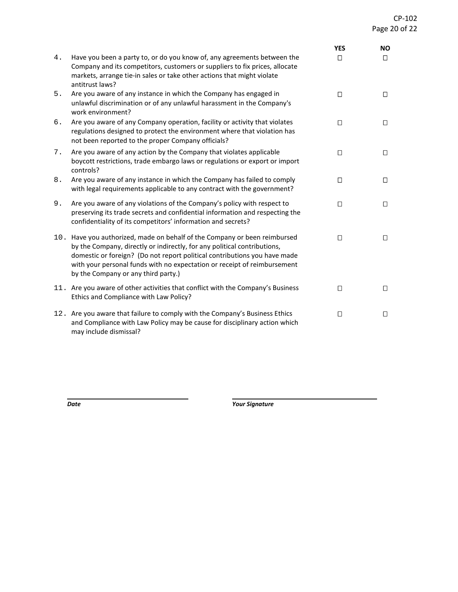|    |                                                                                                                                                                                                                                                                                                                                                       | <b>YES</b> | <b>NO</b> |
|----|-------------------------------------------------------------------------------------------------------------------------------------------------------------------------------------------------------------------------------------------------------------------------------------------------------------------------------------------------------|------------|-----------|
| 4. | Have you been a party to, or do you know of, any agreements between the<br>Company and its competitors, customers or suppliers to fix prices, allocate<br>markets, arrange tie-in sales or take other actions that might violate<br>antitrust laws?                                                                                                   | $\Box$     | $\Box$    |
| 5. | Are you aware of any instance in which the Company has engaged in<br>unlawful discrimination or of any unlawful harassment in the Company's<br>work environment?                                                                                                                                                                                      | $\Box$     | $\Box$    |
| б. | Are you aware of any Company operation, facility or activity that violates<br>regulations designed to protect the environment where that violation has<br>not been reported to the proper Company officials?                                                                                                                                          | $\Box$     | $\Box$    |
| 7. | Are you aware of any action by the Company that violates applicable<br>boycott restrictions, trade embargo laws or regulations or export or import<br>controls?                                                                                                                                                                                       | $\Box$     | $\Box$    |
| 8. | Are you aware of any instance in which the Company has failed to comply<br>with legal requirements applicable to any contract with the government?                                                                                                                                                                                                    | $\Box$     | $\Box$    |
| 9. | Are you aware of any violations of the Company's policy with respect to<br>preserving its trade secrets and confidential information and respecting the<br>confidentiality of its competitors' information and secrets?                                                                                                                               | $\Box$     | $\Box$    |
|    | 10. Have you authorized, made on behalf of the Company or been reimbursed<br>by the Company, directly or indirectly, for any political contributions,<br>domestic or foreign? (Do not report political contributions you have made<br>with your personal funds with no expectation or receipt of reimbursement<br>by the Company or any third party.) | $\Box$     | $\Box$    |
|    | 11. Are you aware of other activities that conflict with the Company's Business<br>Ethics and Compliance with Law Policy?                                                                                                                                                                                                                             | $\Box$     | $\Box$    |
|    | 12. Are you aware that failure to comply with the Company's Business Ethics<br>and Compliance with Law Policy may be cause for disciplinary action which<br>may include dismissal?                                                                                                                                                                    | $\Box$     | $\Box$    |

*Date Your Signature*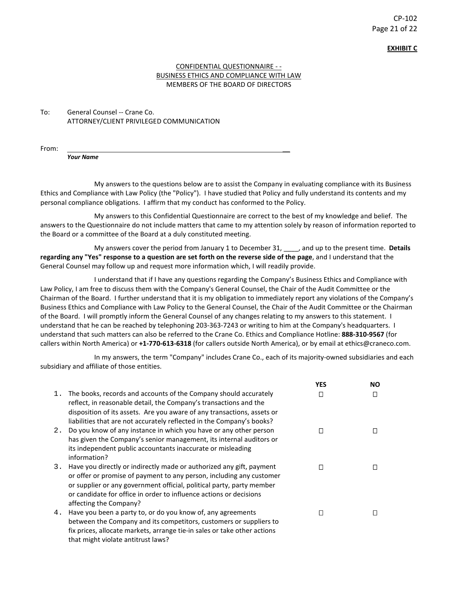# CP-102 Page 21 of 22

**EXHIBIT C**

## CONFIDENTIAL QUESTIONNAIRE - - BUSINESS ETHICS AND COMPLIANCE WITH LAW MEMBERS OF THE BOARD OF DIRECTORS

To: General Counsel -- Crane Co. ATTORNEY/CLIENT PRIVILEGED COMMUNICATION

From: \_\_

*Your Name* 

My answers to the questions below are to assist the Company in evaluating compliance with its Business Ethics and Compliance with Law Policy (the "Policy"). I have studied that Policy and fully understand its contents and my personal compliance obligations. I affirm that my conduct has conformed to the Policy.

My answers to this Confidential Questionnaire are correct to the best of my knowledge and belief. The answers to the Questionnaire do not include matters that came to my attention solely by reason of information reported to the Board or a committee of the Board at a duly constituted meeting.

My answers cover the period from January 1 to December 31, \_\_\_\_, and up to the present time. **Details regarding any "Yes" response to a question are set forth on the reverse side of the page**, and I understand that the General Counsel may follow up and request more information which, I will readily provide.

I understand that if I have any questions regarding the Company's Business Ethics and Compliance with Law Policy, I am free to discuss them with the Company's General Counsel, the Chair of the Audit Committee or the Chairman of the Board. I further understand that it is my obligation to immediately report any violations of the Company's Business Ethics and Compliance with Law Policy to the General Counsel, the Chair of the Audit Committee or the Chairman of the Board. I will promptly inform the General Counsel of any changes relating to my answers to this statement. I understand that he can be reached by telephoning 203-363-7243 or writing to him at the Company's headquarters. I understand that such matters can also be referred to the Crane Co. Ethics and Compliance Hotline: **888-310-9567** (for callers within North America) or **+1-770-613-6318** (for callers outside North America), or by email at ethics@craneco.com.

In my answers, the term "Company" includes Crane Co., each of its majority-owned subsidiaries and each subsidiary and affiliate of those entities.

|       |                                                                                                                                                                                                                                                                                                                       | <b>YES</b> | NO. |
|-------|-----------------------------------------------------------------------------------------------------------------------------------------------------------------------------------------------------------------------------------------------------------------------------------------------------------------------|------------|-----|
| $1$ . | The books, records and accounts of the Company should accurately<br>reflect, in reasonable detail, the Company's transactions and the<br>disposition of its assets. Are you aware of any transactions, assets or<br>liabilities that are not accurately reflected in the Company's books?                             |            |     |
| 2.    | Do you know of any instance in which you have or any other person<br>has given the Company's senior management, its internal auditors or<br>its independent public accountants inaccurate or misleading<br>information?                                                                                               | П          |     |
| 3.    | Have you directly or indirectly made or authorized any gift, payment<br>or offer or promise of payment to any person, including any customer<br>or supplier or any government official, political party, party member<br>or candidate for office in order to influence actions or decisions<br>affecting the Company? | П          |     |
| 4.    | Have you been a party to, or do you know of, any agreements<br>between the Company and its competitors, customers or suppliers to<br>fix prices, allocate markets, arrange tie-in sales or take other actions<br>that might violate antitrust laws?                                                                   |            |     |